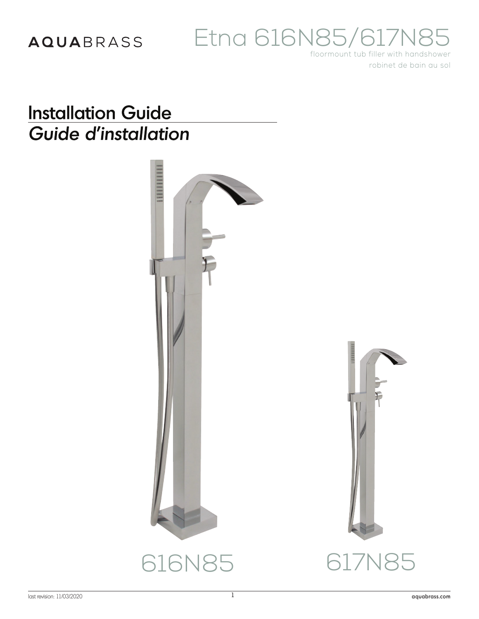# Etna 616N85/617M

floormount tub filler with handshower robinet de bain au sol

## **Installation Guide** Guide d'installation

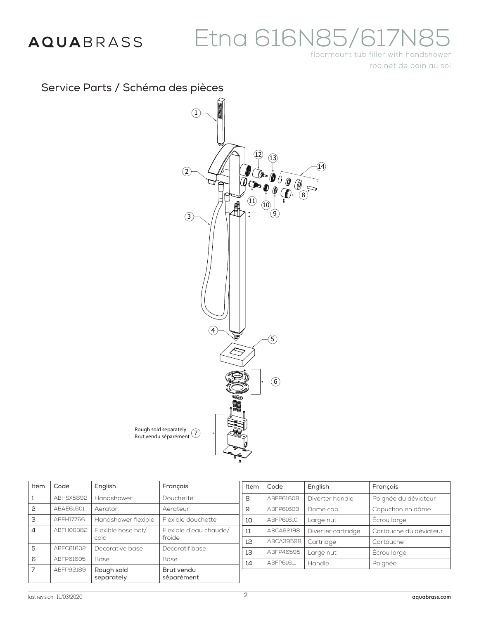# Etna 616N85/

floormount tub filler with handshower robinet de bain au sol

### Service Parts / Schéma des pièces



| Item           | Code      | English                                   | Français                 | Item | Code      | Er      |
|----------------|-----------|-------------------------------------------|--------------------------|------|-----------|---------|
|                | ABHSX5892 | Handshower                                | Douchette                | 8    | ABFP61608 | Di      |
| P              | ABAE61601 | Aérateur<br>Aerator                       |                          | 9    | ABFP61609 | D       |
| 3              | ABFH17766 | Handshower flexible<br>Flexible douchette |                          | 10   | ABFP61610 | Lc      |
| 4              | ABFH00382 | Flexible hose hot/                        | Flexible d'eau chaude/   | 11   | ABCA92198 | Di      |
|                |           | cold                                      | froide                   | 12   | ABCA39598 | $C_{0}$ |
| 5              | ABFC61602 | Decorative base                           | Décoratif base           | 13   | ABFP46595 | Lc      |
| 6              | ABFP61605 | Base                                      | Base                     |      |           |         |
|                |           |                                           |                          | 14   | ABFP61611 | H       |
| $\overline{7}$ | ABFP92189 | Rough sold<br>separately                  | Brut vendu<br>séparément |      |           |         |

|  | Item | Code      | English            | Français               |
|--|------|-----------|--------------------|------------------------|
|  | 8    | ABFP61608 | Diverter handle    | Poignée du déviateur   |
|  | 9    | ABFP61609 | Dome cap           | Capuchon en dôme       |
|  | 10   | ABFP61610 | Large nut          | Ecrou large            |
|  | 11   | ABCA92198 | Diverter cartridge | Cartouche du déviateur |
|  | 12   | ABCA39598 | Cartridge          | Cartouche              |
|  | 13   | ABFP46595 | Large nut          | Ecrou large            |
|  | 14   | ABFP61611 | Handle             | Poignée                |
|  |      |           |                    |                        |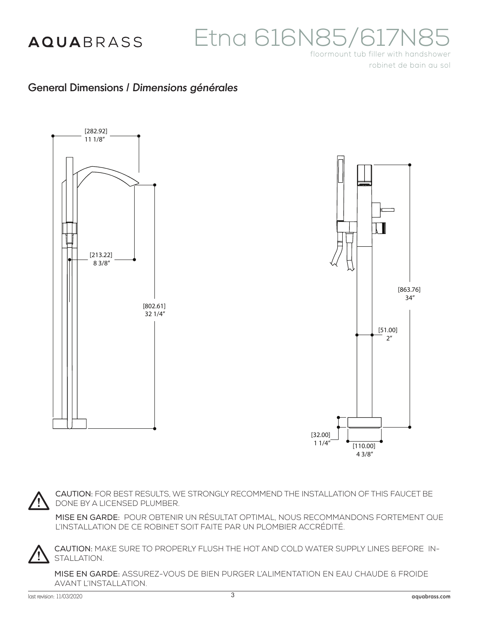# Etna 616N85/617

floormount tub filler with handshower robinet de bain au sol

#### General Dimensions / *Dimensions générales*



CAUTION: FOR BEST RESULTS, WE STRONGLY RECOMMEND THE INSTALLATION OF THIS FAUCET BE DONE BY A LICENSED PLUMBER.

MISE EN GARDE: POUR OBTENIR UN RÉSULTAT OPTIMAL, NOUS RECOMMANDONS FORTEMENT QUE L'INSTALLATION DE CE ROBINET SOIT FAITE PAR UN PLOMBIER ACCRÉDITÉ.



CAUTION: MAKE SURE TO PROPERLY FLUSH THE HOT AND COLD WATER SUPPLY LINES BEFORE IN-STALLATION.

MISE EN GARDE: ASSUREZ-VOUS DE BIEN PURGER L'ALIMENTATION EN EAU CHAUDE & FROIDE AVANT L'INSTALLATION.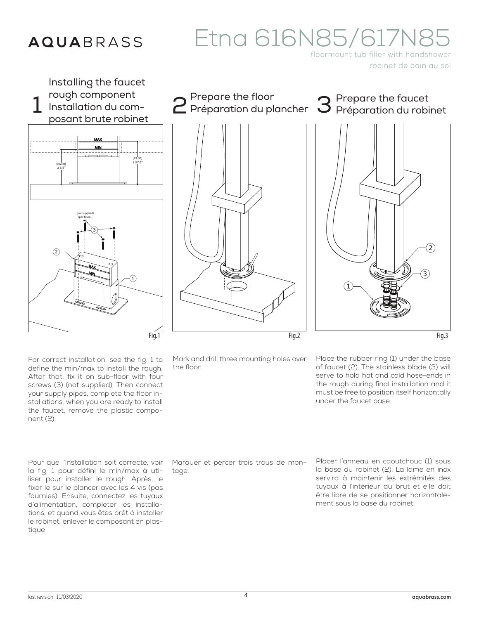# Etna 616N85/617N8

floormount tub filler with handshower robinet de bain au sol



For correct installation, see the fig. 1 to define the min/max to install the rough. After that, fix it on sub-floor with four screws (3) (not supplied). Then connect your supply pipes, complete the floor installations, when you are ready to install the faucet, remove the plastic component (2).

Pour que l'installation soit correcte, voir la fig. 1 pour défini le min/max à utiliser pour installer le rough. Après, le fixer le sur le plancer avec les 4 vis (pas fournies). Ensuite, connectez les tuyaux d'alimentation, compléter les installations, et quand vous êtes prêt à installer le robinet, enlever le composant en plastique

Mark and drill three mounting holes over the floor.

Place the rubber ring (1) under the base of faucet (2). The stainless blade (3) will serve to hold hot and cold hose-ends in the rough during final installation and it must be free to position itself horizontally under the faucet base.

Marquer et percer trois trous de montage.

Placer l'anneau en caoutchouc (1) sous la base du robinet (2). La lame en inox servira à maintenir les extrémités des tuyaux à l'intérieur du brut et elle doit être libre de se positionner horizontalement sous la base du robinet.

2

Fig.3

3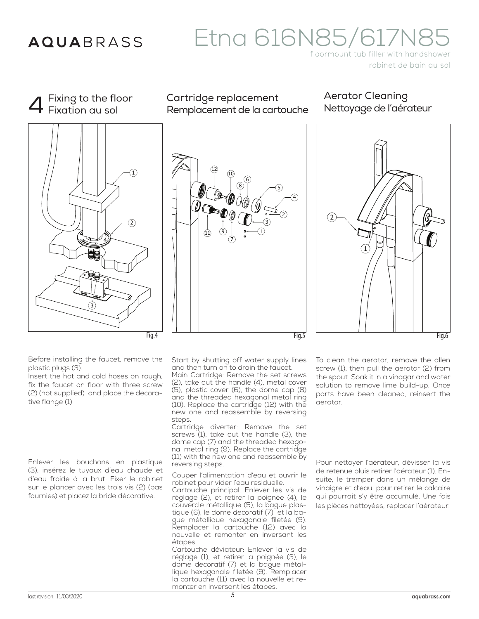Fixing to the floor

# Etna 616N85/617M

floormount tub filler with handshower robinet de bain au sol

4 Fig.4 2  $\mathbf{1}$ 3 Fixation au sol

Cartridge replacement Remplacement de la cartouche







Before installing the faucet, remove the plastic plugs (3).

Insert the hot and cold hoses on rough, fix the faucet on floor with three screw (2) (not supplied) and place the decorative flange (1)

Enlever les bouchons en plastique (3), insérez le tuyaux d'eau chaude et d'eau froide à la brut. Fixer le robinet sur le plancer avec les trois vis (2) (pas fournies) et placez la bride décorative.

Start by shutting off water supply lines and then turn on to drain the faucet.

Main Cartridge: Remove the set screws (2), take out the handle (4), metal cover (5), plastic cover (6), the dome cap (8) and the threaded hexagonal metal ring (10). Replace the cartridge (12) with the new one and reassemble by reversing steps.

Cartridge diverter: Remove the set screws (1), take out the handle (3), the dome cap (7) and the threaded hexagonal metal ring (9). Replace the cartridge  $(11)$  with the new one and reassemble by reversing steps.

Couper l'alimentation d'eau et ouvrir le robinet pour vider l'eau residuelle.

Cartouche principal: Enlever les vis de réglage (2), et retirer la poignée (4), le couvercle métallique (5), la bague plastique (6), le dome decoratif (7) et la bague métallique hexagonale filetée (9). Remplacer la cartouche (12) avec la nouvelle et remonter en inversant les étapes.

Cartouche déviateur: Enlever la vis de réglage (1), et retirer la poignée (3), le dome decoratif (7) et la bague métallique hexagonale filetée (9). Remplacer la cartouche (11) avec la nouvelle et remonter en inversant les étapes.

To clean the aerator, remove the allen screw (1), then pull the aerator (2) from the spout. Soak it in a vinagar and water solution to remove lime build-up. Once parts have been cleaned, reinsert the aerator.

Pour nettoyer l'aérateur, dévisser la vis de retenue pluis retirer l'aérateur (1). Ensuite, le tremper dans un mélange de vinaigre et d'eau, pour retirer le calcaire qui pourrait s'y être accumulé. Une fois les pièces nettoyées, replacer l'aérateur.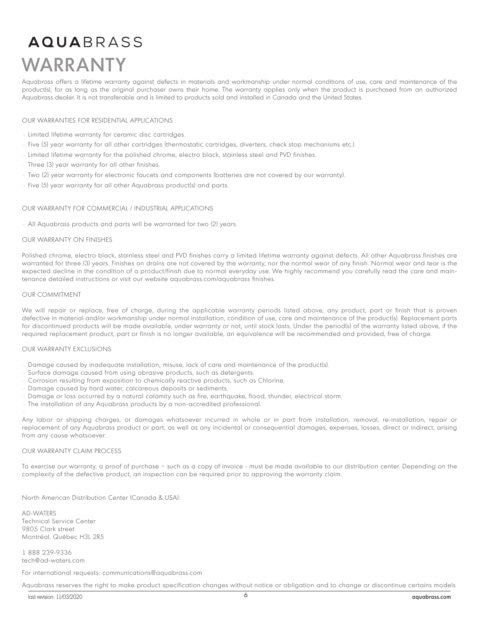## AQUABRASS WARRANTY

Aquabrass offers a lifetime warranty against defects in materials and workmanship under normal conditions of use, care and maintenance of the product(s), for as long as the original purchaser owns their home. The warranty applies only when the product is purchased from an authorized Aquabrass dealer. It is not transferable and is limited to products sold and installed in Canada and the United States.

#### OUR WARRANTIES FOR RESIDENTIAL APPLICATIONS

- Limited lifetime warranty for ceramic disc cartridges.
- Five (5) year warranty for all other cartridges (thermostatic cartridges, diverters, check stop mechanisms etc.).
- Limited lifetime warranty for the polished chrome, electro black, stainless steel and PVD finishes.
- Three (3) year warranty for all other finishes.
- Two (2) year warranty for electronic faucets and components (batteries are not covered by our warranty).
- Five (5) year warranty for all other Aquabrass product(s) and parts.

#### OUR WARRANTY FOR COMMERCIAL / INDUSTRIAL APPLICATIONS

• All Aquabrass products and parts will be warranted for two (2) years.

#### OUR WARRANTY ON FINISHES

Polished chrome, electro black, stainless steel and PVD finishes carry a limited lifetime warranty against defects. All other Aquabrass finishes are warranted for three (3) years. Finishes on drains are not covered by the warranty, nor the normal wear of any finish. Normal wear and tear is the expected decline in the condition of a product/finish due to normal everyday use. We highly recommend you carefully read the care and maintenance detailed instructions or visit our website aquabrass.com/aquabrass finishes.

#### OUR COMMITMENT

•

We will repair or replace, free of charge, during the applicable warranty periods listed above, any product, part or finish that is proven defective in material and/or workmanship under normal installation, condition of use, care and maintenance of the product(s). Replacement parts for discontinued products will be made available, under warranty or not, until stock lasts. Under the period(s) of the warranty listed above, if the required replacement product, part or finish is no longer available, an equivalence will be recommended and provided, free of charge.

#### OUR WARRANTY EXCLUSIONS

- Damage caused by inadequate installation, misuse, lack of care and maintenance of the product(s).
- Surface damage caused from using abrasive products, such as detergents.
- Corrosion resulting from exposition to chemically reactive products, such as Chlorine.
- Damage caused by hard water, calcareous deposits or sediments.
- Damage or loss occurred by a natural calamity such as fire, earthquake, flood, thunder, electrical storm.
- The installation of any Aquabrass products by a non-accredited professional.

Any labor or shipping charges, or damages whatsoever incurred in whole or in part from installation, removal, re-installation, repair or replacement of any Aquabrass product or part, as well as any incidental or consequential damages, expenses, losses, direct or indirect, arising from any cause whatsoever.

#### OUR WARRANTY CLAIM PROCESS

To exercise our warranty, a proof of purchase – such as a copy of invoice - must be made available to our distribution center. Depending on the complexity of the defective product, an inspection can be required prior to approving the warranty claim.

North American Distribution Center (Canada & USA):

AD-WATERS Technical Service Center 9805 Clark street Montréal, Québec H3L 2R5

1 888 239-9336 tech@ad-waters.com

For international requests: communications@aquabrass.com

Aquabrass reserves the right to make product specification changes without notice or obligation and to change or discontinue certains models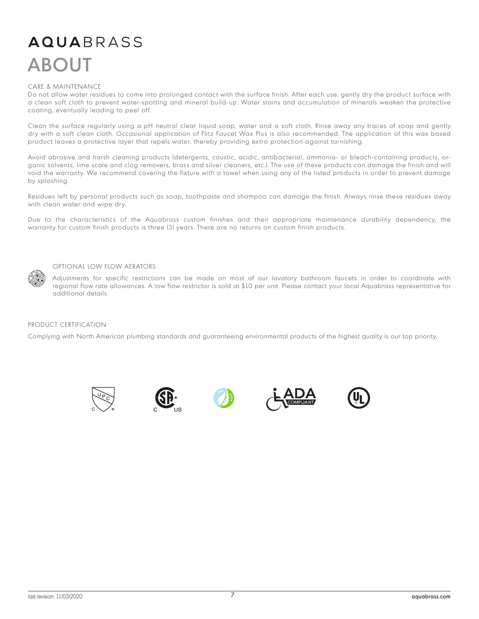## **AQUA**BRASS ABOUT

#### CARE & MAINTENANCE

Do not allow water residues to come into prolonged contact with the surface finish. After each use, gently dry the product surface with a clean soft cloth to prevent water-spotting and mineral build-up. Water stains and accumulation of minerals weaken the protective coating, eventually leading to peel off.

Clean the surface regularly using a pH neutral clear liquid soap, water and a soft cloth. Rinse away any traces of soap and gently dry with a soft clean cloth. Occasional application of Flitz Faucet Wax Plus is also recommended. The application of this wax based product leaves a protective layer that repels water, thereby providing extra protection against tarnishing.

Avoid abrasive and harsh cleaning products (detergents, caustic, acidic, antibacterial, ammonia- or bleach-containing products, organic solvents, lime scale and clog removers, brass and silver cleaners, etc.). The use of these products can damage the finish and will void the warranty. We recommend covering the fixture with a towel when using any of the listed products in order to prevent damage by splashing.

Residues left by personal products such as soap, toothpaste and shampoo can damage the finish. Always rinse these residues away with clean water and wipe dry.

Due to the characteristics of the Aquabrass custom finishes and their appropriate maintenance durability dependency, the warranty for custom finish products is three (3) years. There are no returns on custom finish products.



#### OPTIONAL LOW FLOW AERATORS

Adjustments for specific restrictions can be made on most of our lavatory bathroom faucets in order to coordinate with regional flow rate allowances. A low flow restrictor is sold at \$10 per unit. Please contact your local Aquabrass representative for additional details.

#### PRODUCT CERTIFICATION

Complying with North American plumbing standards and guaranteeing environmental products of the highest quality is our top priority.









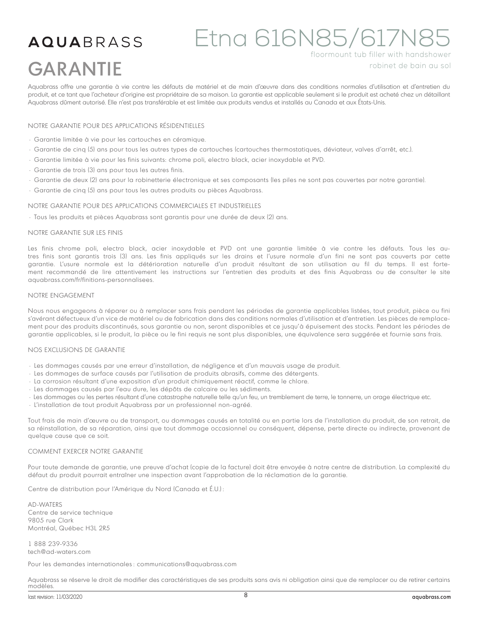#### Etna 616N85/617N8 **AQUA**BRASS floormount tub filler with handshower GARANTIErobinet de bain au sol

Aquabrass offre une garantie à vie contre les défauts de matériel et de main d'œuvre dans des conditions normales d'utilisation et d'entretien du produit, et ce tant que l'acheteur d'origine est propriétaire de sa maison. La garantie est applicable seulement si le produit est acheté chez un détaillant Aquabrass dûment autorisé. Elle n'est pas transférable et est limitée aux produits vendus et installés au Canada et aux États-Unis.

#### NOTRE GARANTIE POUR DES APPLICATIONS RÉSIDENTIELLES

- Garantie limitée à vie pour les cartouches en céramique.
- Garantie de cinq (5) ans pour tous les autres types de cartouches (cartouches thermostatiques, déviateur, valves d'arrêt, etc.).
- Garantie limitée à vie pour les finis suivants: chrome poli, electro black, acier inoxydable et PVD.
- Garantie de trois (3) ans pour tous les autres finis.
- Garantie de deux (2) ans pour la robinetterie électronique et ses composants (les piles ne sont pas couvertes par notre garantie).
- Garantie de cinq (5) ans pour tous les autres produits ou pièces Aquabrass.

#### NOTRE GARANTIE POUR DES APPLICATIONS COMMERCIALES ET INDUSTRIELLES

• Tous les produits et pièces Aquabrass sont garantis pour une durée de deux (2) ans.

#### NOTRE GARANTIE SUR LES FINIS

Les finis chrome poli, electro black, acier inoxydable et PVD ont une garantie limitée à vie contre les défauts. Tous les autres finis sont garantis trois (3) ans. Les finis appliqués sur les drains et l'usure normale d'un fini ne sont pas couverts par cette garantie. L'usure normale est la détérioration naturelle d'un produit résultant de son utilisation au fil du temps. Il est fortement recommandé de lire attentivement les instructions sur l'entretien des produits et des finis Aquabrass ou de consulter le site aquabrass.com/fr/finitions-personnalisees.

#### NOTRE ENGAGEMENT

Nous nous engageons à réparer ou à remplacer sans frais pendant les périodes de garantie applicables listées, tout produit, pièce ou fini s'avérant défectueux d'un vice de matériel ou de fabrication dans des conditions normales d'utilisation et d'entretien. Les pièces de remplacement pour des produits discontinués, sous garantie ou non, seront disponibles et ce jusqu'à épuisement des stocks. Pendant les périodes de garantie applicables, si le produit, la pièce ou le fini requis ne sont plus disponibles, une équivalence sera suggérée et fournie sans frais.

#### NOS EXCLUSIONS DE GARANTIE

- Les dommages causés par une erreur d'installation, de négligence et d'un mauvais usage de produit.
- Les dommages de surface causés par l'utilisation de produits abrasifs, comme des détergents.
- La corrosion résultant d'une exposition d'un produit chimiquement réactif, comme le chlore.
- Les dommages causés par l'eau dure, les dépôts de calcaire ou les sédiments.
- Les dommages ou les pertes résultant d'une catastrophe naturelle telle qu'un feu, un tremblement de terre, le tonnerre, un orage électrique etc.
- L'installation de tout produit Aquabrass par un professionnel non-agréé.

Tout frais de main d'œuvre ou de transport, ou dommages causés en totalité ou en partie lors de l'installation du produit, de son retrait, de sa réinstallation, de sa réparation, ainsi que tout dommage occasionnel ou conséquent, dépense, perte directe ou indirecte, provenant de quelque cause que ce soit.

#### COMMENT EXERCER NOTRE GARANTIE

Pour toute demande de garantie, une preuve d'achat (copie de la facture) doit être envoyée à notre centre de distribution. La complexité du défaut du produit pourrait entraîner une inspection avant l'approbation de la réclamation de la garantie.

Centre de distribution pour l'Amérique du Nord (Canada et É.U.) :

AD-WATERS Centre de service technique 9805 rue Clark Montréal, Québec H3L 2R5

1 888 239-9336 tech@ad-waters.com

Pour les demandes internationales : communications@aquabrass.com

Aquabrass se réserve le droit de modifier des caractéristiques de ses produits sans avis ni obligation ainsi que de remplacer ou de retirer certains modèles.